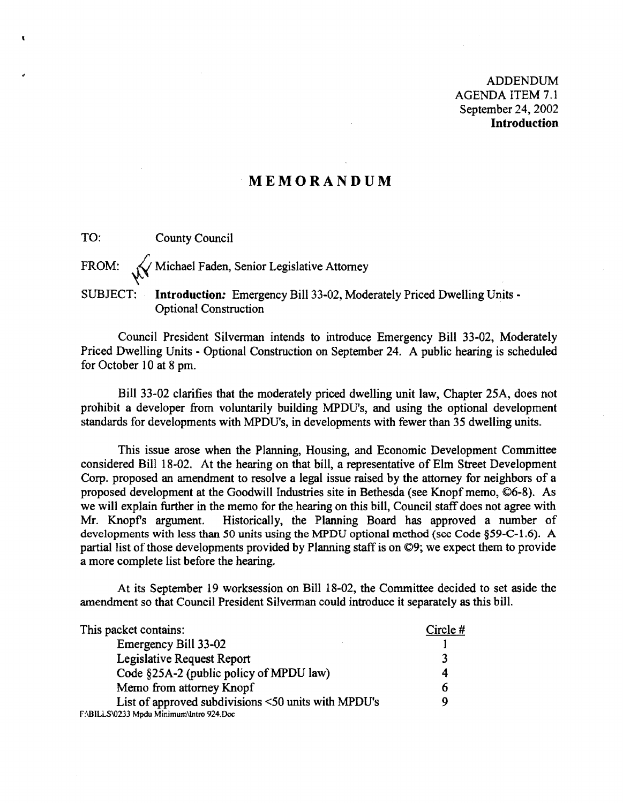ADDENDUM AGENDA ITEM 7.1 September 24, 2002 **Introduction** 

### **MEMORANDUM**

TO: County Council

FROM:  $\sqrt{\phantom{a}}$  Michael Faden, Senior Legislative Attorney

### SUBJECT: **Introduction:** Emergency Bill 33-02, Moderately Priced Dwelling Units -Optional Construction

Council President Silvennan intends to introduce Emergency Bill 33-02, Moderately Priced Dwelling Units - Optional Construction on September 24. A public hearing is scheduled for October 10 at 8 pm.

Bill 33-02 clarifies that the moderately priced dwelling unit law, Chapter 25A, does not prohibit a developer from voluntarily building MPDUs, and using the optional development standards for developments with MPDUs, in developments with fewer than 35 dwelling units.

This issue arose when the Planning, Housing, and Economic Development Committee considered Bill 18-02. At the hearing on that bill, a representative of Elm Street Development Corp. proposed an amendment to resolve a legal issue raised by the attorney for neighbors of a proposed development at the Goodwill Industries site in Bethesda (see Knopf memo, ©6-8). As we will explain further in the memo for the hearing on this bill, Council staff does not agree with Mr. Knopfs argument. Historically, the Planning Board has approved a number of developments with less than 50 units using the MPDU optional method (see Code §59-C-I.6). A partial list of those developments provided by Planning staff is on ©9; we expect them to provide a more complete list before the hearing.

At its September 19 worksession on Bill 18-02, the Committee decided to set aside the amendment so that Council President Silverman could introduce it separately as this bill.

| This packet contains:                               | Circle# |
|-----------------------------------------------------|---------|
| Emergency Bill 33-02                                |         |
| Legislative Request Report                          |         |
| Code §25A-2 (public policy of MPDU law)             | 4       |
| Memo from attorney Knopf                            | b       |
| List of approved subdivisions <50 units with MPDU's | Q       |
| F:\BILLS\0233 Mpdu Minimum\Intro 924.Doc            |         |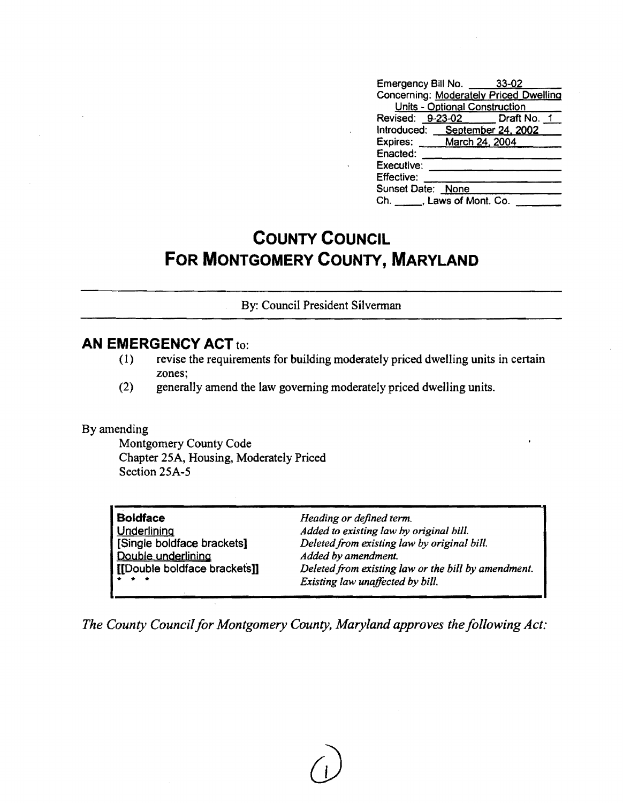| Emergency Bill No. 33-02                      |                               |  |  |
|-----------------------------------------------|-------------------------------|--|--|
| <b>Concerning: Moderately Priced Dwelling</b> |                               |  |  |
|                                               | Units - Optional Construction |  |  |
| Revised: 9-23-02 Draft No. 1                  |                               |  |  |
| Introduced: September 24, 2002                |                               |  |  |
| Expires: March 24, 2004                       |                               |  |  |
| Enacted:                                      |                               |  |  |
| Executive:                                    |                               |  |  |
| Effective:                                    |                               |  |  |
| Sunset Date: None                             |                               |  |  |
| Ch. ______, Laws of Mont. Co.                 |                               |  |  |

# **COUNTY COUNCIL FOR MONTGOMERY COUNTY, MARYLAND**

By: Council President Silverman

### **AN EMERGENCY ACT** to:

- (1) revise the requirements for building moderately priced dwelling units in certain zones;
- (2) generally amend the law governing moderately priced dwelling units.

### By amending

Montgomery County Code Chapter 25A, Housing, Moderately Priced Section 25A-5

| <b>Boldface</b>                                                                             | Heading or defined term.                            |
|---------------------------------------------------------------------------------------------|-----------------------------------------------------|
| <b>Underlining</b>                                                                          | Added to existing law by original bill.             |
| [Single boldface brackets]                                                                  | Deleted from existing law by original bill.         |
| Double underlining                                                                          | Added by amendment.                                 |
| [[Double boldface brackets]]                                                                | Deleted from existing law or the bill by amendment. |
| $\begin{array}{cccccccccccccc} \bullet & \bullet & \bullet & \bullet & \bullet \end{array}$ | Existing law unaffected by bill.                    |
|                                                                                             |                                                     |

The County Council for Montgomery County, Maryland approves the following Act: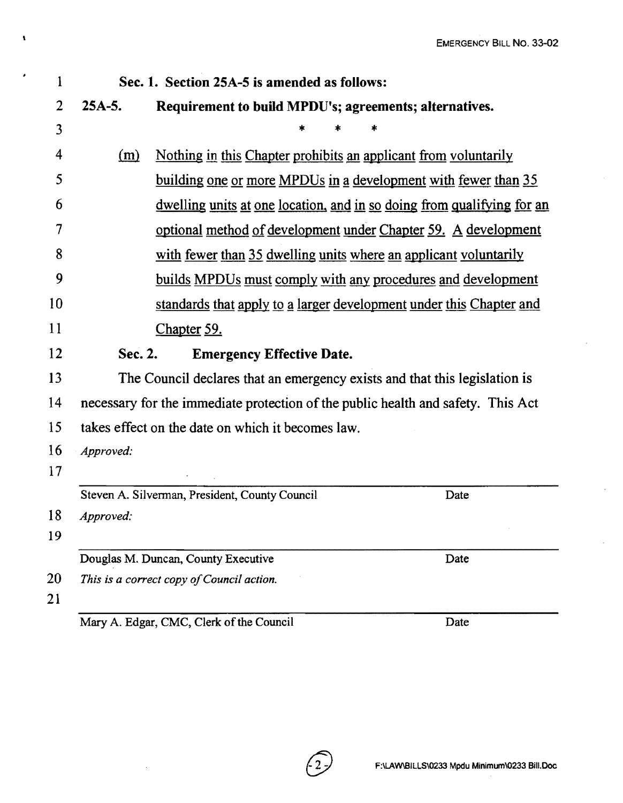| Sec. 1. Section 25A-5 is amended as follows:<br>$25A-5.$<br>Requirement to build MPDU's; agreements; alternatives.<br>Nothing in this Chapter prohibits an applicant from voluntarily<br>(m)<br><u>building one or more MPDUs in a development with fewer than 35</u><br><u>dwelling units at one location, and in so doing from qualifying for an</u><br>optional method of development under Chapter 59. A development<br>with fewer than 35 dwelling units where an applicant voluntarily<br>builds MPDUs must comply with any procedures and development<br>standards that apply to a larger development under this Chapter and<br><u>Chapter 59.</u><br>Sec. 2.<br><b>Emergency Effective Date.</b><br>The Council declares that an emergency exists and that this legislation is<br>necessary for the immediate protection of the public health and safety. This Act<br>takes effect on the date on which it becomes law.<br>Approved:<br>Steven A. Silverman, President, County Council<br>Date<br>Approved:<br>Douglas M. Duncan, County Executive<br>Date<br>This is a correct copy of Council action.<br>Mary A. Edgar, CMC, Clerk of the Council |  |  |  |      |
|-------------------------------------------------------------------------------------------------------------------------------------------------------------------------------------------------------------------------------------------------------------------------------------------------------------------------------------------------------------------------------------------------------------------------------------------------------------------------------------------------------------------------------------------------------------------------------------------------------------------------------------------------------------------------------------------------------------------------------------------------------------------------------------------------------------------------------------------------------------------------------------------------------------------------------------------------------------------------------------------------------------------------------------------------------------------------------------------------------------------------------------------------------------|--|--|--|------|
|                                                                                                                                                                                                                                                                                                                                                                                                                                                                                                                                                                                                                                                                                                                                                                                                                                                                                                                                                                                                                                                                                                                                                             |  |  |  |      |
|                                                                                                                                                                                                                                                                                                                                                                                                                                                                                                                                                                                                                                                                                                                                                                                                                                                                                                                                                                                                                                                                                                                                                             |  |  |  |      |
|                                                                                                                                                                                                                                                                                                                                                                                                                                                                                                                                                                                                                                                                                                                                                                                                                                                                                                                                                                                                                                                                                                                                                             |  |  |  |      |
|                                                                                                                                                                                                                                                                                                                                                                                                                                                                                                                                                                                                                                                                                                                                                                                                                                                                                                                                                                                                                                                                                                                                                             |  |  |  |      |
|                                                                                                                                                                                                                                                                                                                                                                                                                                                                                                                                                                                                                                                                                                                                                                                                                                                                                                                                                                                                                                                                                                                                                             |  |  |  |      |
|                                                                                                                                                                                                                                                                                                                                                                                                                                                                                                                                                                                                                                                                                                                                                                                                                                                                                                                                                                                                                                                                                                                                                             |  |  |  |      |
|                                                                                                                                                                                                                                                                                                                                                                                                                                                                                                                                                                                                                                                                                                                                                                                                                                                                                                                                                                                                                                                                                                                                                             |  |  |  |      |
|                                                                                                                                                                                                                                                                                                                                                                                                                                                                                                                                                                                                                                                                                                                                                                                                                                                                                                                                                                                                                                                                                                                                                             |  |  |  |      |
|                                                                                                                                                                                                                                                                                                                                                                                                                                                                                                                                                                                                                                                                                                                                                                                                                                                                                                                                                                                                                                                                                                                                                             |  |  |  |      |
|                                                                                                                                                                                                                                                                                                                                                                                                                                                                                                                                                                                                                                                                                                                                                                                                                                                                                                                                                                                                                                                                                                                                                             |  |  |  |      |
|                                                                                                                                                                                                                                                                                                                                                                                                                                                                                                                                                                                                                                                                                                                                                                                                                                                                                                                                                                                                                                                                                                                                                             |  |  |  |      |
|                                                                                                                                                                                                                                                                                                                                                                                                                                                                                                                                                                                                                                                                                                                                                                                                                                                                                                                                                                                                                                                                                                                                                             |  |  |  |      |
|                                                                                                                                                                                                                                                                                                                                                                                                                                                                                                                                                                                                                                                                                                                                                                                                                                                                                                                                                                                                                                                                                                                                                             |  |  |  |      |
|                                                                                                                                                                                                                                                                                                                                                                                                                                                                                                                                                                                                                                                                                                                                                                                                                                                                                                                                                                                                                                                                                                                                                             |  |  |  |      |
|                                                                                                                                                                                                                                                                                                                                                                                                                                                                                                                                                                                                                                                                                                                                                                                                                                                                                                                                                                                                                                                                                                                                                             |  |  |  |      |
|                                                                                                                                                                                                                                                                                                                                                                                                                                                                                                                                                                                                                                                                                                                                                                                                                                                                                                                                                                                                                                                                                                                                                             |  |  |  |      |
|                                                                                                                                                                                                                                                                                                                                                                                                                                                                                                                                                                                                                                                                                                                                                                                                                                                                                                                                                                                                                                                                                                                                                             |  |  |  |      |
|                                                                                                                                                                                                                                                                                                                                                                                                                                                                                                                                                                                                                                                                                                                                                                                                                                                                                                                                                                                                                                                                                                                                                             |  |  |  |      |
|                                                                                                                                                                                                                                                                                                                                                                                                                                                                                                                                                                                                                                                                                                                                                                                                                                                                                                                                                                                                                                                                                                                                                             |  |  |  |      |
|                                                                                                                                                                                                                                                                                                                                                                                                                                                                                                                                                                                                                                                                                                                                                                                                                                                                                                                                                                                                                                                                                                                                                             |  |  |  |      |
|                                                                                                                                                                                                                                                                                                                                                                                                                                                                                                                                                                                                                                                                                                                                                                                                                                                                                                                                                                                                                                                                                                                                                             |  |  |  |      |
|                                                                                                                                                                                                                                                                                                                                                                                                                                                                                                                                                                                                                                                                                                                                                                                                                                                                                                                                                                                                                                                                                                                                                             |  |  |  |      |
|                                                                                                                                                                                                                                                                                                                                                                                                                                                                                                                                                                                                                                                                                                                                                                                                                                                                                                                                                                                                                                                                                                                                                             |  |  |  | Date |

 $\langle 2 \rangle$ 

 $\sim$ 

 $\mathbf{I}$ 

 $\ddot{\phantom{a}}$ 

 $\sim$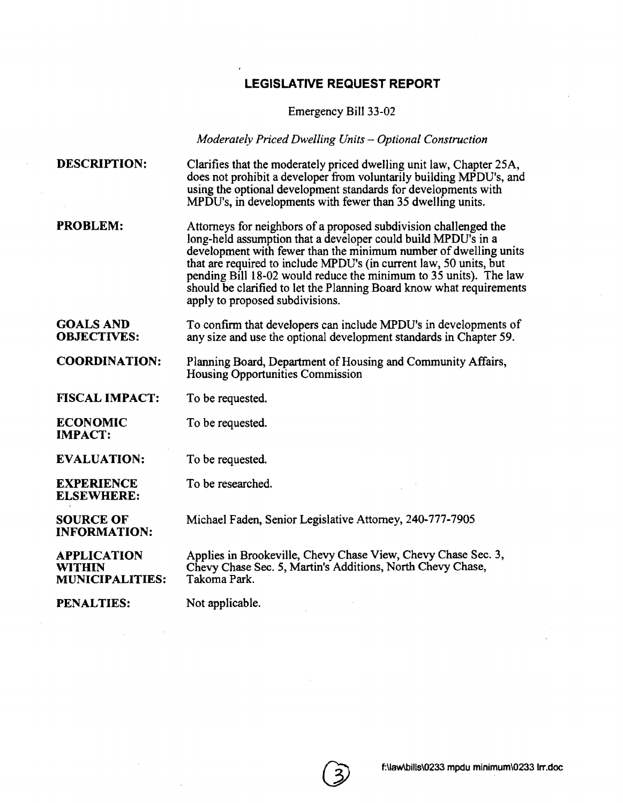## **LEGISLATIVE REQUEST REPORT**

Emergency Bi11 33-02

*Moderately Priced Dwelling Units - Optional Construction* 

| <b>DESCRIPTION:</b>                                           | Clarifies that the moderately priced dwelling unit law, Chapter 25A,<br>does not prohibit a developer from voluntarily building MPDU's, and<br>using the optional development standards for developments with<br>MPDU's, in developments with fewer than 35 dwelling units.                                                                                                                                                                                 |
|---------------------------------------------------------------|-------------------------------------------------------------------------------------------------------------------------------------------------------------------------------------------------------------------------------------------------------------------------------------------------------------------------------------------------------------------------------------------------------------------------------------------------------------|
| <b>PROBLEM:</b>                                               | Attorneys for neighbors of a proposed subdivision challenged the<br>long-held assumption that a developer could build MPDU's in a<br>development with fewer than the minimum number of dwelling units<br>that are required to include MPDU's (in current law, 50 units, but<br>pending Bill 18-02 would reduce the minimum to 35 units). The law<br>should be clarified to let the Planning Board know what requirements<br>apply to proposed subdivisions. |
| <b>GOALS AND</b><br><b>OBJECTIVES:</b>                        | To confirm that developers can include MPDU's in developments of<br>any size and use the optional development standards in Chapter 59.                                                                                                                                                                                                                                                                                                                      |
| <b>COORDINATION:</b>                                          | Planning Board, Department of Housing and Community Affairs,<br><b>Housing Opportunities Commission</b>                                                                                                                                                                                                                                                                                                                                                     |
| <b>FISCAL IMPACT:</b>                                         | To be requested.                                                                                                                                                                                                                                                                                                                                                                                                                                            |
| <b>ECONOMIC</b><br><b>IMPACT:</b>                             | To be requested.                                                                                                                                                                                                                                                                                                                                                                                                                                            |
| <b>EVALUATION:</b>                                            | To be requested.                                                                                                                                                                                                                                                                                                                                                                                                                                            |
| <b>EXPERIENCE</b><br><b>ELSEWHERE:</b>                        | To be researched.                                                                                                                                                                                                                                                                                                                                                                                                                                           |
| <b>SOURCE OF</b><br><b>INFORMATION:</b>                       | Michael Faden, Senior Legislative Attorney, 240-777-7905                                                                                                                                                                                                                                                                                                                                                                                                    |
| <b>APPLICATION</b><br><b>WITHIN</b><br><b>MUNICIPALITIES:</b> | Applies in Brookeville, Chevy Chase View, Chevy Chase Sec. 3,<br>Chevy Chase Sec. 5, Martin's Additions, North Chevy Chase,<br>Takoma Park.                                                                                                                                                                                                                                                                                                                 |
| <b>PENALTIES:</b>                                             | Not applicable.                                                                                                                                                                                                                                                                                                                                                                                                                                             |

 $\sim$   $\epsilon$ 

 $\mathcal{L}$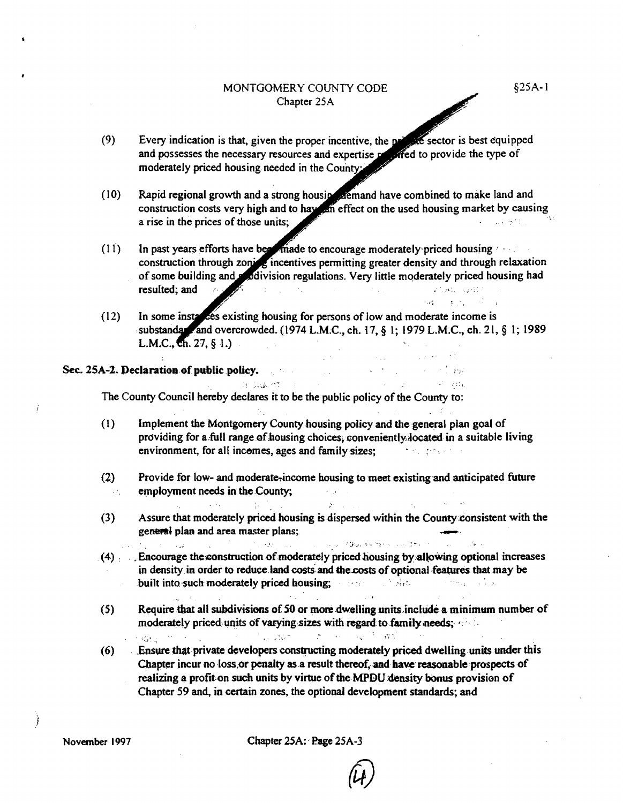#### MONTGOMERY COUNTY CODE Chapter 25A

 $50\%$  , and  $10\%$  ,  $20\%$  , and

**TO SECTION** 

 $\sim 10^{11}$  , with

- $(9)$ te sector is best equipped Every indication is that, given the proper incentive, the properand possesses the necessary resources and expertise reflect to provide the type of moderately priced housing needed in the County:
- Rapid regional growth and a strong housing atemand have combined to make land and  $(10)$ construction costs very high and to hay an effect on the used housing market by causing  $\sim 100$  km  $^{-1}$  M  $_{\odot}$ a rise in the prices of those units;
- In past years efforts have been made to encourage moderately priced housing  $(11)$ construction through zoning incentives permitting greater density and through relaxation of some building and soldivision regulations. Very little moderately priced housing had resulted; and  $\lambda_{\rm{max}}$ **Carlier Carlos**
- In some instances existing housing for persons of low and moderate income is  $(12)$ substandar and overcrowded. (1974 L.M.C., ch. 17, § 1; 1979 L.M.C., ch. 21, § 1; 1989 L.M.C.,  $\overline{eh}$ . 27, § 1.)  $\sim 10^{11}$  km s  $^{-1}$

 $\sim 10$ 

 $\sim 10^{-1}$ 

 $\mathcal{L}^{\mathcal{L}}(\mathcal{A})$  and  $\mathcal{L}^{\mathcal{L}}(\mathcal{A})$ 

Contract of Blue and the construction of the contract

 $\chi \to \gamma$ 

#### Sec. 25A-2. Declaration of public policy.

The County Council hereby declares it to be the public policy of the County to:

**DE DIGENT** CONT

 $\mathcal{L}(\mathcal{L}^{\mathcal{L}})$ 

in I

and the state of the state of the state of the state of the state of the state of the state of the state of the<br>The state of the state of the state of the state of the state of the state of the state of the state of the st

- Implement the Montgomery County housing policy and the general plan goal of  $(1)$ providing for a full range of housing choices, conveniently located in a suitable living environment, for all incomes, ages and family sizes;
- $(2)$ Provide for low- and moderate-income housing to meet existing and anticipated future employment needs in the County;  $\mathcal{L}_{\mathcal{L}}^{(1)}$
- $(3)$ Assure that moderately priced housing is dispersed within the County consistent with the general plan and area master plans;

 $\Delta\phi$ 

- $(4)$  Encourage the construction of moderately priced housing by allowing optional increases in density in order to reduce land costs and the costs of optional features that may be built into such moderately priced housing; a series of shear and series and a
- $(5)$ Require that all subdivisions of 50 or more dwelling units include a minimum number of moderately priced units of varying sizes with regard to family needs; these more complete that we have the second and
- Ensure that private developers constructing moderately priced dwelling units under this  $(6)$ Chapter incur no loss or penalty as a result thereof, and have reasonable prospects of realizing a profit on such units by virtue of the MPDU density bonus provision of Chapter 59 and, in certain zones, the optional development standards; and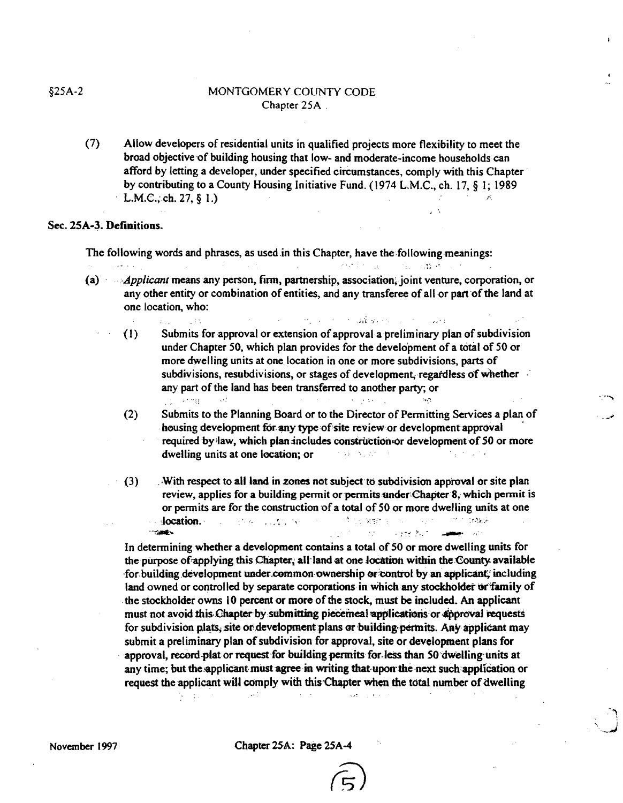#### §25A-2 MONTGOMERY COUNTY CODE Chapter 25A .

(7) Allow developers of residential units in qualified projects more flexibility to meet the broad objective of building housing that low- and moderate-income households can afford by letting a developer, under specified circumstances, comply with this Chapter $\cdot$ by contributing to a County Housing Initiative Fund. (1974 L.M.C., ch. 17, § 1; 1989 L.M.C.; ch. 27,  $\S$  1.)

#### Sec. 25A-3. Definitions.

The following words and phrases, as used in this Chapter, have the following meanings:  $\label{eq:3} \mathcal{L}^{\mathcal{A}}(\mathcal{A},\mathcal{C},\mathcal{C})=\frac{1}{24}\mathcal{L}^{\mathcal{A}}(\mathcal{C},\mathcal{C})=\frac{1}{24}\mathcal{L}^{\mathcal{A}}(\mathcal{A},\mathcal{C},\mathcal{C},\mathcal{C})$ 

- (a) *Applicant* means any person, firm, partnership, association, joint venture, corporation, or any other entity or combination of entities, and any transferee of all or pattofthe land at one location, who:
	- the common state of the common state (1) Submits for approval or extension of approval a preliminary plan of subdivision under Chapter 50, which plan provides for the development of a total of 50 or more dwelling units at one. location in one or more subdivisions, parts of subdivisions, resubdivisions, or stages of development, regardless of whether any part of the land has been transferred to another party; or  $\gamma$  , and
	- (2) Submits to the Planning Board or to the Director of Permitting Services a plan of housing development for any type of site review or development approval required by law, which plan includes construction or development of 50 or more dwelling units at one location; or *all the second*
	- $(3)$  . With respect to all land in zones not subject to subdivision approval or site plan review, applies for a building permit or permits under Chapter 8, which permit is or permits are for the construction of a total of 50 or more dwelling units at one ·,Iocation. .. !. ,', \_, 'w:," . . :r-~c;' *<u>START OF BRITISH</u>*  $\sigma_{\rm{eff}}$  .  $\sim$  and  $\sim$   $\sim$

In determining whether a development contains a total of 50 or more dwelling units for the purpose of applying this Chapter, all land at one location within the County available for building development under common ownership or control by an applicant; including land owned or controlled by separate corporations in which any stockholder or family of the stockholder owns 10 percent or more of the stock, must be included. An applicant must not avoid this Chapter by submitting piecemeal applications or approval requests for subdivision plats, site or development plans or building-permits. Any applicant may submit a preliminary plan of subdivision for approval, site or development plans for approval, record-plat or request-for building permits for less than 50 dwelling units at any time; but the applicant must agree in writing that upon the next such application or request the applicant will comply with this Chapter when the total number of dwelling  $\sim$   $\sim$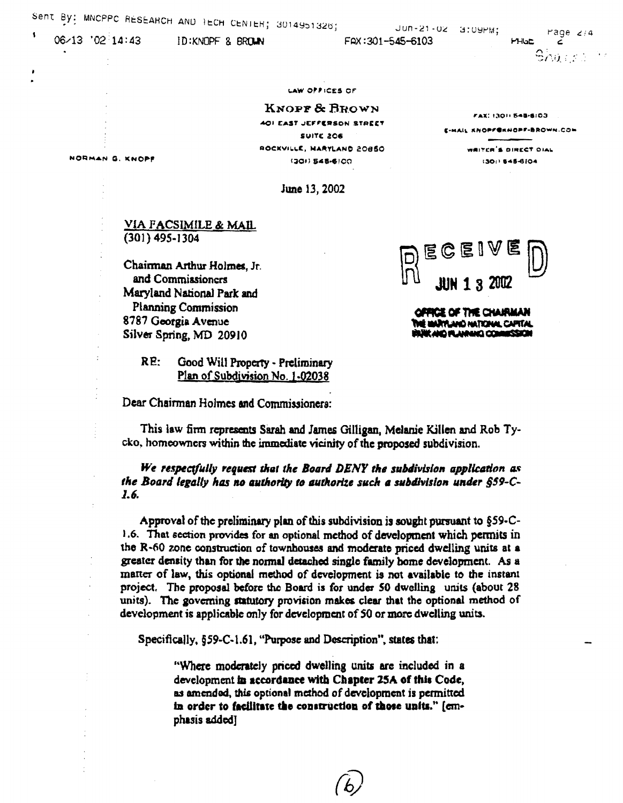06-13 '02 14:43

ID: KNOPF & BROWN

Jun-21-02 3:09PM;

FAX:301-545-6103

rage  $2/4$ 

**PHGE**  $\epsilon$  $\mathbf{\mathsf{S}}\mathsf{avg}$  and

FAX: 13011 548-6103

E-MAIL KNOPF@KNOPF-BROWN.COM

WEITER'S DIRECT OIAL

(301) 645-6104

#### **LAW OFFICES OF**

KNOPF & BROWN 401 EAST JEFFERSON STREET **SUITE 206** ROCKVILLE, NARYLAND 20850 (301) 548-6100

NORMAN G. KNOPF

June 13, 2002

#### <u>VIA FACSIMILE & MAIL</u>  $(301)$  495-1304

Chairman Arthur Holmes, Jr. and Commissioners Maryland National Park and **Planning Commission** 8787 Georgia Avenue Silver Spring, MD 20910

> RE: Good Will Property - Preliminary Plan of Subdivision No. 1-02038

Dear Chairman Holmes and Commissionera:



OPPICE OF THE CHAIRMAN È MARYLANO NATIONAL CAPITAL **HORZEMADD DIAMANA PLOW SKASK** 

This law firm represents Sarah and James Gilligan, Melanie Killen and Rob Tycko, homeowners within the immediate vicinity of the proposed subdivision.

We respectfully request that the Board DENY the subdivision application as the Board legally has no authority to authorize such a subdivision under §59-C-I.b.

Approval of the preliminary plan of this subdivision is sought pursuant to §59-C-1.6. That section provides for an optional method of development which permits in the R-60 zone construction of townhouses and moderate priced dwelling units at a greater density than for the normal detached single family bome development. As a matter of law, this optional method of development is not available to the instant project. The proposal before the Board is for under 50 dwelling units (about 28 units). The governing statutory provision makes clear that the optional method of development is applicable only for development of 50 or more dwelling units.

Specifically, §59-C-1.61, "Purpose and Description", states that:

"Where moderately priced dwelling units are included in a development in accordance with Chapter 25A of this Code, as amended, this optional method of development is permitted in order to facilitate the construction of those units." [cmphasis added]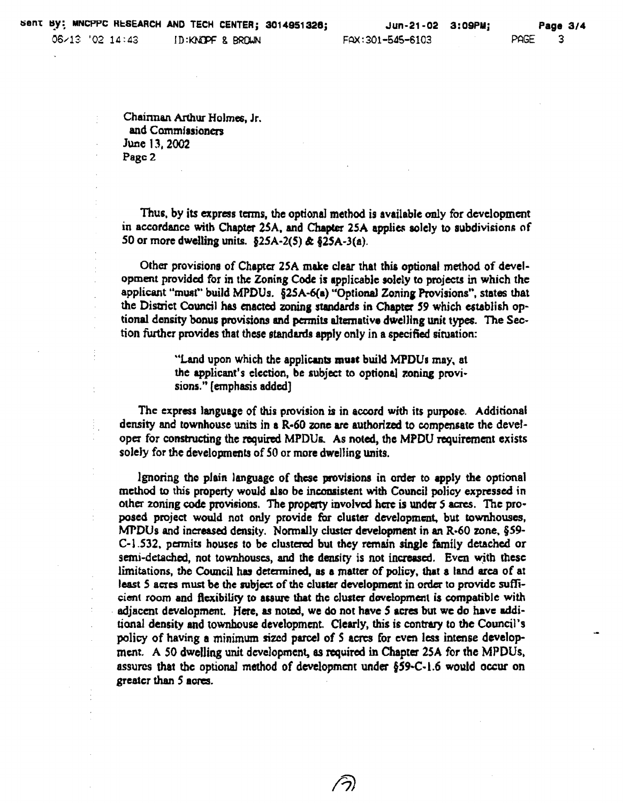Chainnan Arthur Holmes, Jr. and Commissioners June 13. 2002 Pagc 2

Thus, by its express terms, the optional method is available only for development in accordance with Chapter 25A. and Chapcer *2SA* applies soleJy to subdivisions of 50 or more dwelling units.  $§25A-2(5) \& §25A-3(a)$ .

Other provisions of Chapter 2SA make clear that thia optional method of development provided for in the Zoning Code is applicable solely to projects in which the applicant "must" build MPDUs. §2SA-6(a) "Optional Zoning Provisions", states that the District Council has enacted zoning standards in Chapter 59 which establish optional density bonus provisions ad permits alternative dweJJing unit types. The Section further provides that these standards apply only in a specified situation:

> "Land upon which the applicants must build MPDUs may, at the applicant's election, be subject to optional zoning provi· sions." [emphasis added]

The express language of this provision is in accord with its purpose. Additional density and townhouse units in a R·60 zone are authorized to compensate the develope: for construeting the required MPDUs. As noted, the MPDU requirement exists solely for the developments of *SO* or more dwelling units.

19noring tho plain language of these provisions in order to apply the optional method to this property would also be inconsistent with Council policy expressed in other zoning code provisions. The property invoJved here is under Sacres. The proposed project would not only provide for cluster development. but townhouses. MPDUs and increased density. Normally cluster development in an R-60 zone, §59-C-1.532, permits houses to be clustered but they remain single family detached or semi-detached, not townhouses, and the density is not increased. Even with these limitations, the Council has determined, as a matter of policy, that a land area of at least 5 acres must be the subject of the cluster development in order to provide sufficient room and flexibility to assure that the cluster dovelopment is compatible with . adjacent development. Here. as noted, we do not have 5 acres but we do have additional density and townhouse development. Clearly, this is contrary to the Council's policy of having a minimum sized parcel of S acres for even less intense development. A *SO* dwelling unit development, as required in Chapter 25A for the MPDUs. assures that the optional method of development under  $§59-C-1.6$  would occur on greater than 5 acres.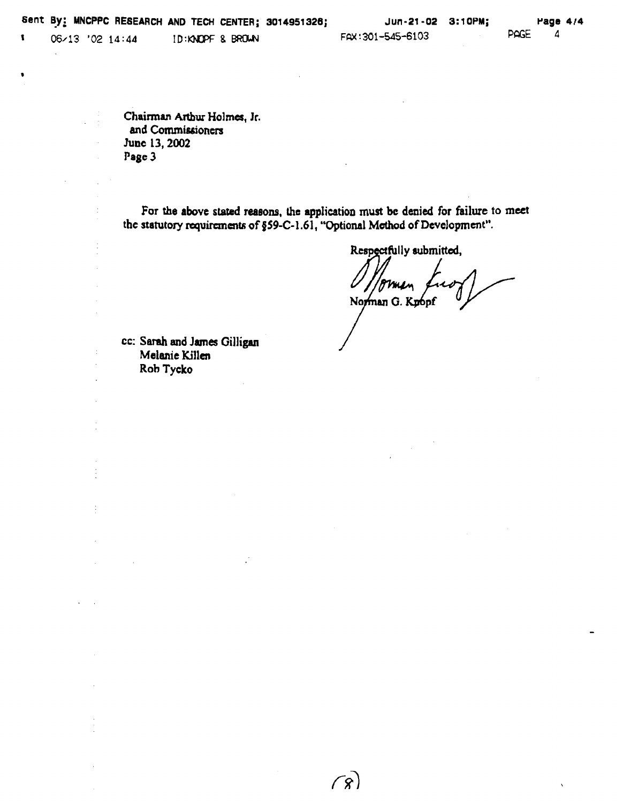$\bullet$ 

 $\dot{\mathbb{I}}$ 

 $\frac{1}{2}$ 

l,

J.

 $\frac{1}{2}$ 

 $\overline{a}$ 

Chairman Arthur Holmes, Jr. and Commissioners JUDe 13, 2002 Page 3

For the above stated reasons, the application must be denied for failure to meet the statutory requirements of §59-C-1.61, "Optional Method of Development".

 $\sqrt{8}$ 

Respectfully submitted,

Norman G. Kpopf

cc: Sarah and James GiHigan Melanie Killen Rob Tycko